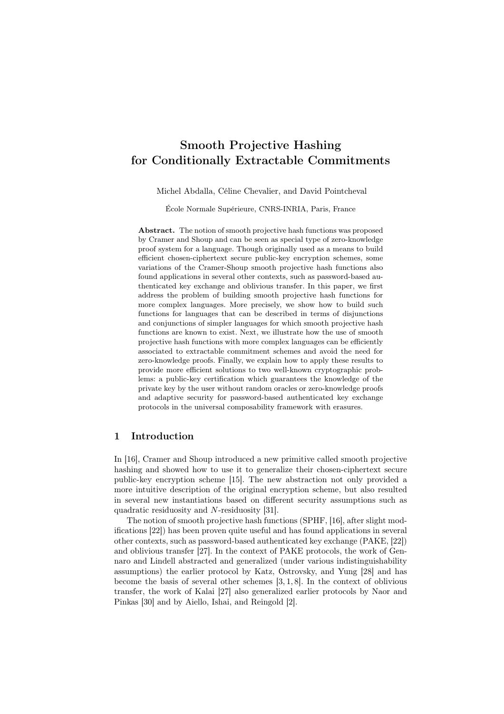# Smooth Projective Hashing for Conditionally Extractable Commitments

Michel Abdalla, Céline Chevalier, and David Pointcheval

École Normale Supérieure, CNRS-INRIA, Paris, France

Abstract. The notion of smooth projective hash functions was proposed by Cramer and Shoup and can be seen as special type of zero-knowledge proof system for a language. Though originally used as a means to build efficient chosen-ciphertext secure public-key encryption schemes, some variations of the Cramer-Shoup smooth projective hash functions also found applications in several other contexts, such as password-based authenticated key exchange and oblivious transfer. In this paper, we first address the problem of building smooth projective hash functions for more complex languages. More precisely, we show how to build such functions for languages that can be described in terms of disjunctions and conjunctions of simpler languages for which smooth projective hash functions are known to exist. Next, we illustrate how the use of smooth projective hash functions with more complex languages can be efficiently associated to extractable commitment schemes and avoid the need for zero-knowledge proofs. Finally, we explain how to apply these results to provide more efficient solutions to two well-known cryptographic problems: a public-key certification which guarantees the knowledge of the private key by the user without random oracles or zero-knowledge proofs and adaptive security for password-based authenticated key exchange protocols in the universal composability framework with erasures.

## 1 Introduction

In [16], Cramer and Shoup introduced a new primitive called smooth projective hashing and showed how to use it to generalize their chosen-ciphertext secure public-key encryption scheme [15]. The new abstraction not only provided a more intuitive description of the original encryption scheme, but also resulted in several new instantiations based on different security assumptions such as quadratic residuosity and N-residuosity [31].

The notion of smooth projective hash functions (SPHF, [16], after slight modifications [22]) has been proven quite useful and has found applications in several other contexts, such as password-based authenticated key exchange (PAKE, [22]) and oblivious transfer [27]. In the context of PAKE protocols, the work of Gennaro and Lindell abstracted and generalized (under various indistinguishability assumptions) the earlier protocol by Katz, Ostrovsky, and Yung [28] and has become the basis of several other schemes [3, 1, 8]. In the context of oblivious transfer, the work of Kalai [27] also generalized earlier protocols by Naor and Pinkas [30] and by Aiello, Ishai, and Reingold [2].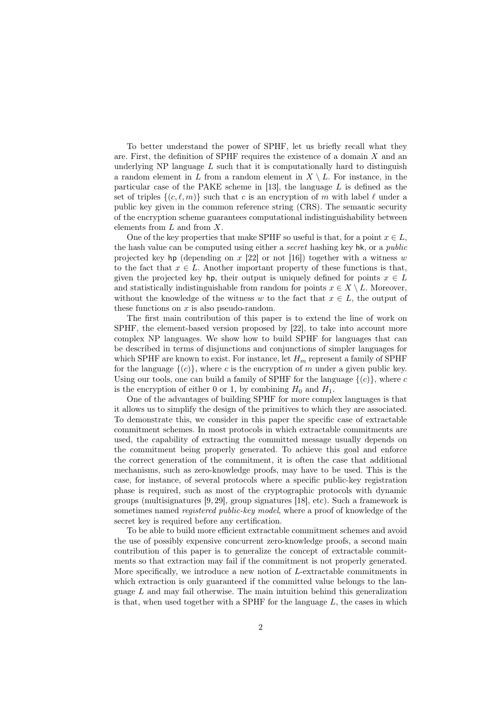To better understand the power of SPHF, let us briefly recall what they are. First, the definition of SPHF requires the existence of a domain  $X$  and an underlying  $NP$  language  $L$  such that it is computationally hard to distinguish a random element in L from a random element in  $X \setminus L$ . For instance, in the particular case of the PAKE scheme in [13], the language  $L$  is defined as the set of triples  $\{(c, \ell, m)\}\$  such that c is an encryption of m with label  $\ell$  under a public key given in the common reference string (CRS). The semantic security of the encryption scheme guarantees computational indistinguishability between elements from  $L$  and from  $X$ .

One of the key properties that make SPHF so useful is that, for a point  $x \in L$ , the hash value can be computed using either a secret hashing key hk, or a public projected key hp (depending on  $x$  [22] or not [16]) together with a witness w to the fact that  $x \in L$ . Another important property of these functions is that, given the projected key hp, their output is uniquely defined for points  $x \in L$ and statistically indistinguishable from random for points  $x \in X \setminus L$ . Moreover, without the knowledge of the witness w to the fact that  $x \in L$ , the output of these functions on  $x$  is also pseudo-random.

The first main contribution of this paper is to extend the line of work on SPHF, the element-based version proposed by [22], to take into account more complex NP languages. We show how to build SPHF for languages that can be described in terms of disjunctions and conjunctions of simpler languages for which SPHF are known to exist. For instance, let  $H_m$  represent a family of SPHF for the language  $\{(c)\}\$ , where c is the encryption of m under a given public key. Using our tools, one can build a family of SPHF for the language  $\{(c)\}\)$ , where c is the encryption of either 0 or 1, by combining  $H_0$  and  $H_1$ .

One of the advantages of building SPHF for more complex languages is that it allows us to simplify the design of the primitives to which they are associated. To demonstrate this, we consider in this paper the specific case of extractable commitment schemes. In most protocols in which extractable commitments are used, the capability of extracting the committed message usually depends on the commitment being properly generated. To achieve this goal and enforce the correct generation of the commitment, it is often the case that additional mechanisms, such as zero-knowledge proofs, may have to be used. This is the case, for instance, of several protocols where a specific public-key registration phase is required, such as most of the cryptographic protocols with dynamic groups (multisignatures [9, 29], group signatures [18], etc). Such a framework is sometimes named *registered public-key model*, where a proof of knowledge of the secret key is required before any certification.

To be able to build more efficient extractable commitment schemes and avoid the use of possibly expensive concurrent zero-knowledge proofs, a second main contribution of this paper is to generalize the concept of extractable commitments so that extraction may fail if the commitment is not properly generated. More specifically, we introduce a new notion of L-extractable commitments in which extraction is only guaranteed if the committed value belongs to the language L and may fail otherwise. The main intuition behind this generalization is that, when used together with a SPHF for the language  $L$ , the cases in which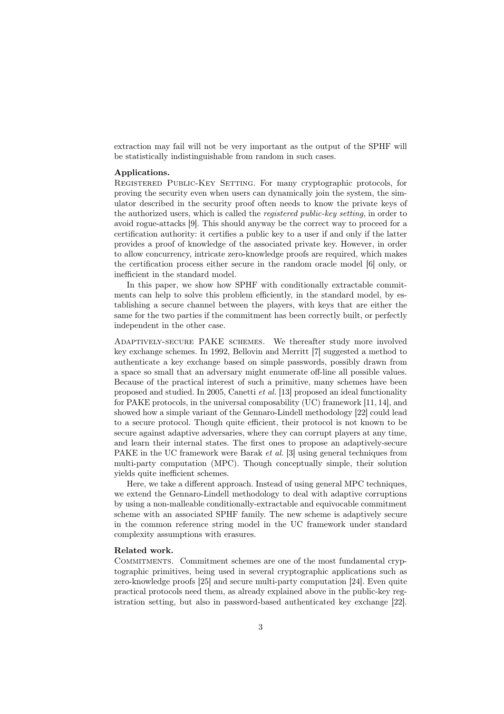extraction may fail will not be very important as the output of the SPHF will be statistically indistinguishable from random in such cases.

### Applications.

Registered Public-Key Setting. For many cryptographic protocols, for proving the security even when users can dynamically join the system, the simulator described in the security proof often needs to know the private keys of the authorized users, which is called the registered public-key setting, in order to avoid rogue-attacks [9]. This should anyway be the correct way to proceed for a certification authority: it certifies a public key to a user if and only if the latter provides a proof of knowledge of the associated private key. However, in order to allow concurrency, intricate zero-knowledge proofs are required, which makes the certification process either secure in the random oracle model [6] only, or inefficient in the standard model.

In this paper, we show how SPHF with conditionally extractable commitments can help to solve this problem efficiently, in the standard model, by establishing a secure channel between the players, with keys that are either the same for the two parties if the commitment has been correctly built, or perfectly independent in the other case.

Adaptively-secure PAKE schemes. We thereafter study more involved key exchange schemes. In 1992, Bellovin and Merritt [7] suggested a method to authenticate a key exchange based on simple passwords, possibly drawn from a space so small that an adversary might enumerate off-line all possible values. Because of the practical interest of such a primitive, many schemes have been proposed and studied. In 2005, Canetti et al. [13] proposed an ideal functionality for PAKE protocols, in the universal composability (UC) framework [11, 14], and showed how a simple variant of the Gennaro-Lindell methodology [22] could lead to a secure protocol. Though quite efficient, their protocol is not known to be secure against adaptive adversaries, where they can corrupt players at any time, and learn their internal states. The first ones to propose an adaptively-secure PAKE in the UC framework were Barak *et al.* [3] using general techniques from multi-party computation (MPC). Though conceptually simple, their solution yields quite inefficient schemes.

Here, we take a different approach. Instead of using general MPC techniques, we extend the Gennaro-Lindell methodology to deal with adaptive corruptions by using a non-malleable conditionally-extractable and equivocable commitment scheme with an associated SPHF family. The new scheme is adaptively secure in the common reference string model in the UC framework under standard complexity assumptions with erasures.

## Related work.

Commitments. Commitment schemes are one of the most fundamental cryptographic primitives, being used in several cryptographic applications such as zero-knowledge proofs [25] and secure multi-party computation [24]. Even quite practical protocols need them, as already explained above in the public-key registration setting, but also in password-based authenticated key exchange [22].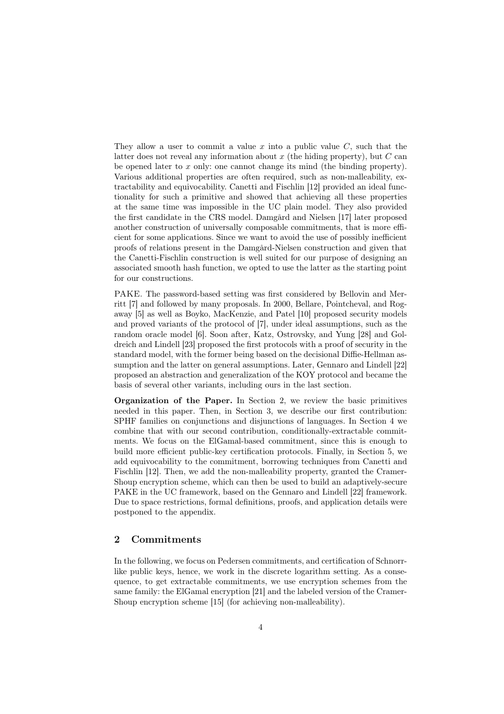They allow a user to commit a value x into a public value  $C$ , such that the latter does not reveal any information about  $x$  (the hiding property), but  $C$  can be opened later to  $x$  only: one cannot change its mind (the binding property). Various additional properties are often required, such as non-malleability, extractability and equivocability. Canetti and Fischlin [12] provided an ideal functionality for such a primitive and showed that achieving all these properties at the same time was impossible in the UC plain model. They also provided the first candidate in the CRS model. Damgård and Nielsen [17] later proposed another construction of universally composable commitments, that is more efficient for some applications. Since we want to avoid the use of possibly inefficient proofs of relations present in the Damgård-Nielsen construction and given that the Canetti-Fischlin construction is well suited for our purpose of designing an associated smooth hash function, we opted to use the latter as the starting point for our constructions.

PAKE. The password-based setting was first considered by Bellovin and Merritt [7] and followed by many proposals. In 2000, Bellare, Pointcheval, and Rogaway [5] as well as Boyko, MacKenzie, and Patel [10] proposed security models and proved variants of the protocol of [7], under ideal assumptions, such as the random oracle model [6]. Soon after, Katz, Ostrovsky, and Yung [28] and Goldreich and Lindell [23] proposed the first protocols with a proof of security in the standard model, with the former being based on the decisional Diffie-Hellman assumption and the latter on general assumptions. Later, Gennaro and Lindell [22] proposed an abstraction and generalization of the KOY protocol and became the basis of several other variants, including ours in the last section.

Organization of the Paper. In Section 2, we review the basic primitives needed in this paper. Then, in Section 3, we describe our first contribution: SPHF families on conjunctions and disjunctions of languages. In Section 4 we combine that with our second contribution, conditionally-extractable commitments. We focus on the ElGamal-based commitment, since this is enough to build more efficient public-key certification protocols. Finally, in Section 5, we add equivocability to the commitment, borrowing techniques from Canetti and Fischlin [12]. Then, we add the non-malleability property, granted the Cramer-Shoup encryption scheme, which can then be used to build an adaptively-secure PAKE in the UC framework, based on the Gennaro and Lindell [22] framework. Due to space restrictions, formal definitions, proofs, and application details were postponed to the appendix.

# 2 Commitments

In the following, we focus on Pedersen commitments, and certification of Schnorrlike public keys, hence, we work in the discrete logarithm setting. As a consequence, to get extractable commitments, we use encryption schemes from the same family: the ElGamal encryption [21] and the labeled version of the Cramer-Shoup encryption scheme [15] (for achieving non-malleability).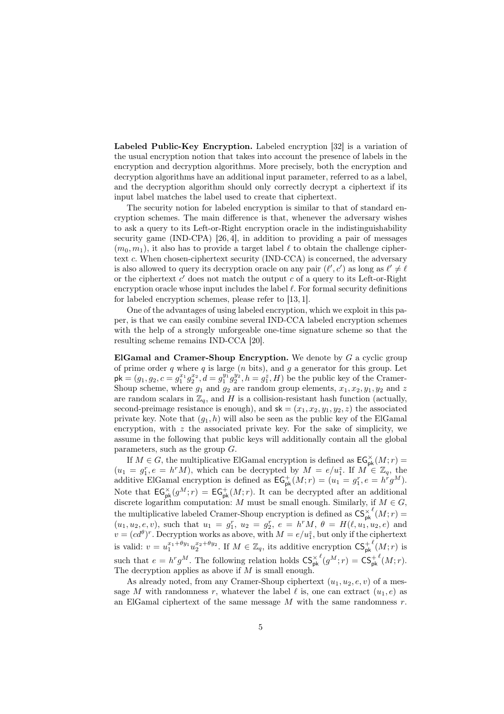Labeled Public-Key Encryption. Labeled encryption [32] is a variation of the usual encryption notion that takes into account the presence of labels in the encryption and decryption algorithms. More precisely, both the encryption and decryption algorithms have an additional input parameter, referred to as a label, and the decryption algorithm should only correctly decrypt a ciphertext if its input label matches the label used to create that ciphertext.

The security notion for labeled encryption is similar to that of standard encryption schemes. The main difference is that, whenever the adversary wishes to ask a query to its Left-or-Right encryption oracle in the indistinguishability security game (IND-CPA) [26, 4], in addition to providing a pair of messages  $(m_0, m_1)$ , it also has to provide a target label  $\ell$  to obtain the challenge ciphertext c. When chosen-ciphertext security (IND-CCA) is concerned, the adversary is also allowed to query its decryption oracle on any pair  $(\ell', c')$  as long as  $\ell' \neq \ell$ or the ciphertext  $c'$  does not match the output  $c$  of a query to its Left-or-Right encryption oracle whose input includes the label  $\ell$ . For formal security definitions for labeled encryption schemes, please refer to [13, 1].

One of the advantages of using labeled encryption, which we exploit in this paper, is that we can easily combine several IND-CCA labeled encryption schemes with the help of a strongly unforgeable one-time signature scheme so that the resulting scheme remains IND-CCA [20].

ElGamal and Cramer-Shoup Encryption. We denote by  $G$  a cyclic group of prime order q where q is large  $(n \text{ bits})$ , and q a generator for this group. Let  $pk = (g_1, g_2, c = g_1^{x_1} g_2^{x_2}, d = g_1^{y_1} g_2^{y_2}, h = g_1^{z}, H)$  be the public key of the Cramer-Shoup scheme, where  $g_1$  and  $g_2$  are random group elements,  $x_1, x_2, y_1, y_2$  and z are random scalars in  $\mathbb{Z}_q$ , and H is a collision-resistant hash function (actually, second-preimage resistance is enough), and  $sk = (x_1, x_2, y_1, y_2, z)$  the associated private key. Note that  $(q_1, h)$  will also be seen as the public key of the ElGamal encryption, with  $z$  the associated private key. For the sake of simplicity, we assume in the following that public keys will additionally contain all the global parameters, such as the group G.

If  $M \in G$ , the multiplicative ElGamal encryption is defined as  $\mathsf{EG}_{\mathsf{pk}}^{\times}(M; r) =$  $(u_1 = g_1^r, e = h^r M)$ , which can be decrypted by  $M = e/u_1^z$ . If  $M \in \mathbb{Z}_q$ , the additive ElGamal encryption is defined as  $\mathsf{EG}_{\mathsf{pk}}^+(M; r) = (u_1 = g_1^r, e = h^r g^M).$ Note that  $\mathsf{EG}_{\mathsf{pk}}^{\times}(g^M; r) = \mathsf{EG}_{\mathsf{pk}}^+(M; r)$ . It can be decrypted after an additional discrete logarithm computation: M must be small enough. Similarly, if  $M \in G$ , the multiplicative labeled Cramer-Shoup encryption is defined as  $CS_{\rm pk}^{\times}$  $\ell(M;r) =$  $(u_1, u_2, e, v)$ , such that  $u_1 = g_1^r$ ,  $u_2 = g_2^r$ ,  $e = h^r M$ ,  $\theta = H(\ell, u_1, u_2, e)$  and  $v = (cd^{\theta})^r$ . Decryption works as above, with  $M = e/u_1^z$ , but only if the ciphertext is valid:  $v = u_1^{x_1 + \theta y_1} u_2^{x_2 + \theta y_2}$ . If  $M \in \mathbb{Z}_q$ , its additive encryption  $\mathsf{CS}_{\mathrm{pk}}^+$  $^{\ell}(M;r)$  is such that  $e = h^r g^M$ . The following relation holds  $\mathsf{CS}_{\mathrm{pk}}^{\times}$  $^{\ell}(g^{M};r)={\sf CS}_{\sf pk}^+$  $^{\ell}(M;r).$ The decryption applies as above if  $M$  is small enough.

As already noted, from any Cramer-Shoup ciphertext  $(u_1, u_2, e, v)$  of a message M with randomness r, whatever the label  $\ell$  is, one can extract  $(u_1, e)$  as an ElGamal ciphertext of the same message  $M$  with the same randomness  $r$ .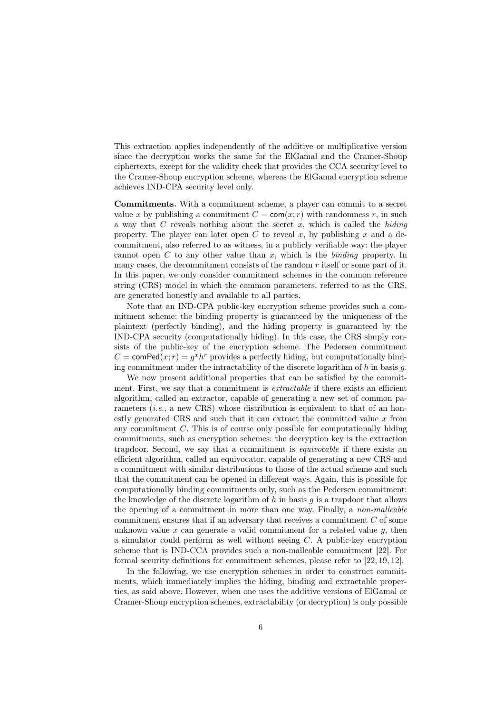This extraction applies independently of the additive or multiplicative version since the decryption works the same for the ElGamal and the Cramer-Shoup ciphertexts, except for the validity check that provides the CCA security level to the Cramer-Shoup encryption scheme, whereas the ElGamal encryption scheme achieves IND-CPA security level only.

Commitments. With a commitment scheme, a player can commit to a secret value x by publishing a commitment  $C = \text{com}(x; r)$  with randomness r, in such a way that  $C$  reveals nothing about the secret  $x$ , which is called the *hiding* property. The player can later open C to reveal x, by publishing x and a decommitment, also referred to as witness, in a publicly verifiable way: the player cannot open  $C$  to any other value than  $x$ , which is the binding property. In many cases, the decommitment consists of the random  $r$  itself or some part of it. In this paper, we only consider commitment schemes in the common reference string (CRS) model in which the common parameters, referred to as the CRS, are generated honestly and available to all parties.

Note that an IND-CPA public-key encryption scheme provides such a commitment scheme: the binding property is guaranteed by the uniqueness of the plaintext (perfectly binding), and the hiding property is guaranteed by the IND-CPA security (computationally hiding). In this case, the CRS simply consists of the public-key of the encryption scheme. The Pedersen commitment  $C = \text{comPed}(x; r) = g^x h^r$  provides a perfectly hiding, but computationally binding commitment under the intractability of the discrete logarithm of  $h$  in basis  $g$ .

We now present additional properties that can be satisfied by the commitment. First, we say that a commitment is *extractable* if there exists an efficient algorithm, called an extractor, capable of generating a new set of common parameters (*i.e.*, a new CRS) whose distribution is equivalent to that of an honestly generated CRS and such that it can extract the committed value  $x$  from any commitment  $C$ . This is of course only possible for computationally hiding commitments, such as encryption schemes: the decryption key is the extraction trapdoor. Second, we say that a commitment is equivocable if there exists an efficient algorithm, called an equivocator, capable of generating a new CRS and a commitment with similar distributions to those of the actual scheme and such that the commitment can be opened in different ways. Again, this is possible for computationally binding commitments only, such as the Pedersen commitment: the knowledge of the discrete logarithm of  $h$  in basis q is a trapdoor that allows the opening of a commitment in more than one way. Finally, a non-malleable commitment ensures that if an adversary that receives a commitment  $C$  of some unknown value  $x$  can generate a valid commitment for a related value  $y$ , then a simulator could perform as well without seeing  $C$ . A public-key encryption scheme that is IND-CCA provides such a non-malleable commitment [22]. For formal security definitions for commitment schemes, please refer to [22, 19, 12].

In the following, we use encryption schemes in order to construct commitments, which immediately implies the hiding, binding and extractable properties, as said above. However, when one uses the additive versions of ElGamal or Cramer-Shoup encryption schemes, extractability (or decryption) is only possible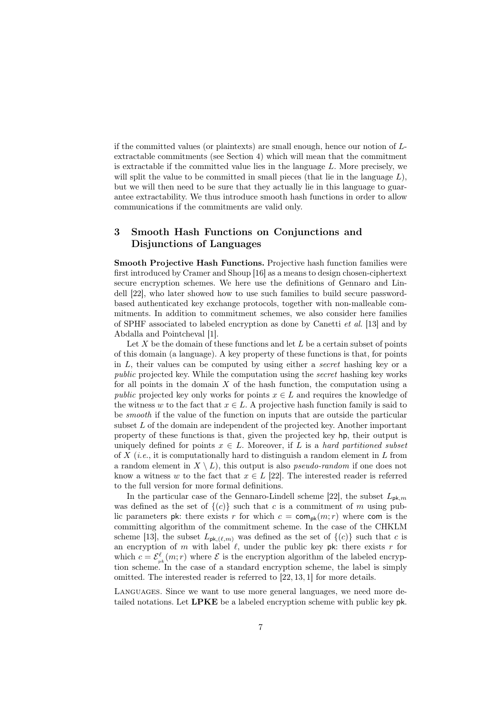if the committed values (or plaintexts) are small enough, hence our notion of Lextractable commitments (see Section 4) which will mean that the commitment is extractable if the committed value lies in the language  $L$ . More precisely, we will split the value to be committed in small pieces (that lie in the language  $L$ ). but we will then need to be sure that they actually lie in this language to guarantee extractability. We thus introduce smooth hash functions in order to allow communications if the commitments are valid only.

# 3 Smooth Hash Functions on Conjunctions and Disjunctions of Languages

Smooth Projective Hash Functions. Projective hash function families were first introduced by Cramer and Shoup [16] as a means to design chosen-ciphertext secure encryption schemes. We here use the definitions of Gennaro and Lindell [22], who later showed how to use such families to build secure passwordbased authenticated key exchange protocols, together with non-malleable commitments. In addition to commitment schemes, we also consider here families of SPHF associated to labeled encryption as done by Canetti et al. [13] and by Abdalla and Pointcheval [1].

Let  $X$  be the domain of these functions and let  $L$  be a certain subset of points of this domain (a language). A key property of these functions is that, for points in L, their values can be computed by using either a secret hashing key or a public projected key. While the computation using the secret hashing key works for all points in the domain  $X$  of the hash function, the computation using a *public* projected key only works for points  $x \in L$  and requires the knowledge of the witness w to the fact that  $x \in L$ . A projective hash function family is said to be smooth if the value of the function on inputs that are outside the particular subset  $L$  of the domain are independent of the projected key. Another important property of these functions is that, given the projected key hp, their output is uniquely defined for points  $x \in L$ . Moreover, if L is a hard partitioned subset of X (*i.e.*, it is computationally hard to distinguish a random element in L from a random element in  $X \setminus L$ , this output is also *pseudo-random* if one does not know a witness w to the fact that  $x \in L$  [22]. The interested reader is referred to the full version for more formal definitions.

In the particular case of the Gennaro-Lindell scheme [22], the subset  $L_{\mathsf{pk},m}$ was defined as the set of  $\{(c)\}\$  such that c is a commitment of m using public parameters pk: there exists r for which  $c = \text{com}_{\text{pk}}(m; r)$  where com is the committing algorithm of the commitment scheme. In the case of the CHKLM scheme [13], the subset  $L_{\mathsf{pk},(\ell,m)}$  was defined as the set of  $\{(c)\}\$  such that c is an encryption of m with label  $\ell$ , under the public key pk: there exists r for which  $c = \mathcal{E}_{pk}^{\ell}(m;r)$  where  $\mathcal E$  is the encryption algorithm of the labeled encryption scheme. In the case of a standard encryption scheme, the label is simply omitted. The interested reader is referred to [22, 13, 1] for more details.

Languages. Since we want to use more general languages, we need more detailed notations. Let  $LPKE$  be a labeled encryption scheme with public key pk.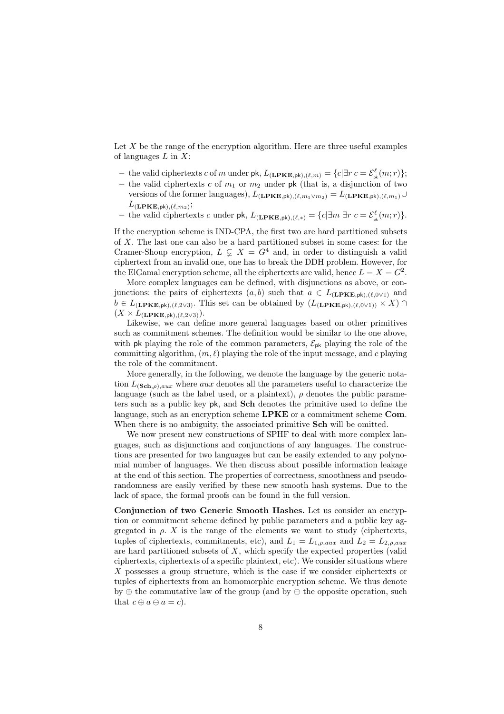Let  $X$  be the range of the encryption algorithm. Here are three useful examples of languages  $L$  in  $X$ :

- $-$  the valid ciphertexts *c* of *m* under **pk**,  $L$ <sub>(**LPKE**, **p**k),( $\ell$ ,*m*) = {*c*|∃*r c* =  $\mathcal{E}^{\ell}_{\sf pk}(m;r)$ };</sub>
- the valid ciphertexts c of  $m_1$  or  $m_2$  under pk (that is, a disjunction of two versions of the former languages),  $L_{(\textbf{LPKE},p\textbf{k}),(\ell,m_1\vee m_2)}=L_{(\textbf{LPKE},p\textbf{k}),(\ell,m_1)}\cup$  $L_{(\mathbf{LPKE},\mathsf{pk}),(\ell,m_2)};$
- the valid ciphertexts *c* under **pk**,  $L$ <sub>(**LPKE**, **pk**),( $\ell$ ,\*) = {*c*|∃*m* ∃*r c* =  $\mathcal{E}^{\ell}_{\sf pk}(m;r)$ }.</sub>

If the encryption scheme is IND-CPA, the first two are hard partitioned subsets of X. The last one can also be a hard partitioned subset in some cases: for the Cramer-Shoup encryption,  $L \subsetneq X = G^4$  and, in order to distinguish a valid ciphertext from an invalid one, one has to break the DDH problem. However, for the ElGamal encryption scheme, all the ciphertexts are valid, hence  $L = X = G^2$ .

More complex languages can be defined, with disjunctions as above, or conjunctions: the pairs of ciphertexts  $(a, b)$  such that  $a \in L_{(\text{LPKE},pk),(\ell,0\vee1)}$  and  $b \in L_{(\mathbf{LPKE},\mathsf{pk}),(\ell,2\vee3)}$ . This set can be obtained by  $(L_{(\mathbf{LPKE},\mathsf{pk}),(\ell,0\vee1))} \times X) \cap$  $(X \times L_{\text{(LPKE,pk)},(\ell,2\vee 3)})$ .

Likewise, we can define more general languages based on other primitives such as commitment schemes. The definition would be similar to the one above, with pk playing the role of the common parameters,  $\mathcal{E}_{\text{pk}}$  playing the role of the committing algorithm,  $(m, \ell)$  playing the role of the input message, and c playing the role of the commitment.

More generally, in the following, we denote the language by the generic notation  $L_{(\mathbf{Sch},\rho),aux}$  where aux denotes all the parameters useful to characterize the language (such as the label used, or a plaintext),  $\rho$  denotes the public parameters such as a public key pk, and Sch denotes the primitive used to define the language, such as an encryption scheme LPKE or a commitment scheme Com. When there is no ambiguity, the associated primitive Sch will be omitted.

We now present new constructions of SPHF to deal with more complex languages, such as disjunctions and conjunctions of any languages. The constructions are presented for two languages but can be easily extended to any polynomial number of languages. We then discuss about possible information leakage at the end of this section. The properties of correctness, smoothness and pseudorandomness are easily verified by these new smooth hash systems. Due to the lack of space, the formal proofs can be found in the full version.

Conjunction of two Generic Smooth Hashes. Let us consider an encryption or commitment scheme defined by public parameters and a public key aggregated in  $\rho$ . X is the range of the elements we want to study (ciphertexts, tuples of ciphertexts, commitments, etc), and  $L_1 = L_{1,\rho, aux}$  and  $L_2 = L_{2,\rho, aux}$ are hard partitioned subsets of  $X$ , which specify the expected properties (valid ciphertexts, ciphertexts of a specific plaintext, etc). We consider situations where X possesses a group structure, which is the case if we consider ciphertexts or tuples of ciphertexts from an homomorphic encryption scheme. We thus denote by ⊕ the commutative law of the group (and by ⊖ the opposite operation, such that  $c \oplus a \ominus a = c$ ).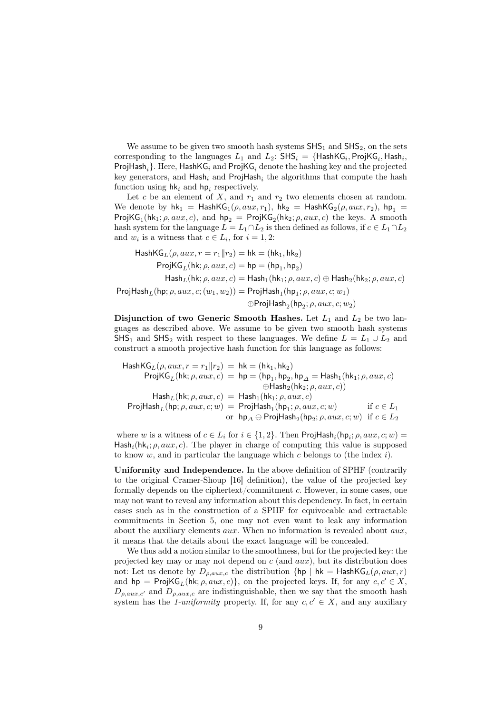We assume to be given two smooth hash systems  $SHS<sub>1</sub>$  and  $SHS<sub>2</sub>$ , on the sets corresponding to the languages  $L_1$  and  $L_2$ :  $\textsf{SHS}_i = \{\textsf{HashKG}_i, \textsf{ProjKG}_i, \textsf{Hash}_i, \textsf{Mod}_i, \textsf{Mod}_i, \textsf{Mod}_i, \textsf{Mod}_i, \textsf{Mod}_i, \textsf{Mod}_i, \textsf{Mod}_i, \textsf{Mod}_i, \textsf{Mod}_i, \textsf{Mod}_i, \textsf{Mod}_i, \textsf{Mod}_i, \textsf{Mod}_i, \textsf{Mod}_i, \textsf{Mod}_i, \textsf{Mod}_i, \textsf{Mod}_i,$ ProjHash<sub>i</sub>}. Here, HashKG<sub>i</sub> and ProjKG<sub>i</sub> denote the hashing key and the projected key generators, and  $\mathsf{Hash}_i$  and  $\mathsf{ProjHash}_i$  the algorithms that compute the hash function using  $hk_i$  and  $hp_i$  respectively.

Let c be an element of X, and  $r_1$  and  $r_2$  two elements chosen at random. We denote by  $hk_1 = HashKG_1(\rho, aux, r_1), hk_2 = HashKG_2(\rho, aux, r_2), hp_1 =$ ProjK $G_1(hk_1; \rho, aux, c)$ , and  $hp_2 = \text{ProjKG}_2(hk_2; \rho, aux, c)$  the keys. A smooth hash system for the language  $L = L_1 \cap L_2$  is then defined as follows, if  $c \in L_1 \cap L_2$ and  $w_i$  is a witness that  $c \in L_i$ , for  $i = 1, 2$ :

$$
\begin{aligned} \mathsf{HashKG}_L(\rho, aux, r=r_1 \| r_2) &= \mathsf{hk} = (\mathsf{hk}_1, \mathsf{hk}_2) \\ \mathsf{ProjKG}_L(\mathsf{hk}; \rho, aux, c) &= \mathsf{hp} = (\mathsf{hp}_1, \mathsf{hp}_2) \\ \mathsf{Hash}_L(\mathsf{hk}; \rho, aux, c) &= \mathsf{Hash}_1(\mathsf{hk}_1; \rho, aux, c) \oplus \mathsf{Hash}_2(\mathsf{hk}_2; \rho, aux, c) \\ \mathsf{ProjHash}_L(\mathsf{hp}; \rho, aux, c; (w_1, w_2)) &= \mathsf{ProjHash}_1(\mathsf{hp}_1; \rho, aux, c; w_1) \end{aligned}
$$

 $\oplus$ ProjHash $_2$ (hp $_2;$   $\rho, aux, c; w_2)$ 

Disjunction of two Generic Smooth Hashes. Let  $L_1$  and  $L_2$  be two languages as described above. We assume to be given two smooth hash systems SHS<sub>1</sub> and SHS<sub>2</sub> with respect to these languages. We define  $L = L_1 \cup L_2$  and construct a smooth projective hash function for this language as follows:

$$
\begin{array}{rl} \mathsf{HashKG}_L(\rho, aux, r=r_1 \| r_2) &= \mathsf{hk} = (\mathsf{hk}_1, \mathsf{hk}_2) \\ \mathsf{ProjKG}_L(\mathsf{hk}; \rho, aux, c) &= \mathsf{hp} = (\mathsf{hp}_1, \mathsf{hp}_2, \mathsf{hp}_\Delta = \mathsf{Hash}_1(\mathsf{hk}_1; \rho, aux, c) \\ & \qquad \qquad \oplus \mathsf{Hash}_2(\mathsf{hk}_2; \rho, aux, c)) \\ \mathsf{Hash}_L(\mathsf{hk}; \rho, aux, c) &= \mathsf{Hash}_1(\mathsf{hk}_1; \rho, aux, c; w) \\ \mathsf{ProjHash}_L(\mathsf{hp}; \rho, aux, c; w) &= \mathsf{ProjHash}_1(\mathsf{hp}_1; \rho, aux, c; w) \quad \text{if } c \in L_1 \\ & \qquad \qquad \text{or } \mathsf{hp}_\Delta \ominus \mathsf{ProjHash}_2(\mathsf{hp}_2; \rho, aux, c; w) \quad \text{if } c \in L_2 \end{array}
$$

where w is a witness of  $c \in L_i$  for  $i \in \{1,2\}$ . Then  $\mathsf{ProjHash}_i(\mathsf{hp}_i; \rho, aux, c; w) =$  $\mathsf{Hash}_i(\mathsf{hk}_i; \rho, aux, c)$ . The player in charge of computing this value is supposed to know  $w$ , and in particular the language which  $c$  belongs to (the index  $i$ ).

Uniformity and Independence. In the above definition of SPHF (contrarily to the original Cramer-Shoup [16] definition), the value of the projected key formally depends on the ciphertext/commitment c. However, in some cases, one may not want to reveal any information about this dependency. In fact, in certain cases such as in the construction of a SPHF for equivocable and extractable commitments in Section 5, one may not even want to leak any information about the auxiliary elements *aux*. When no information is revealed about *aux*, it means that the details about the exact language will be concealed.

We thus add a notion similar to the smoothness, but for the projected key: the projected key may or may not depend on  $c$  (and  $aux$ ), but its distribution does not: Let us denote by  $D_{\rho,aux,c}$  the distribution  $\{\text{hp } \mid \text{hk} = \text{HashKG}_L(\rho, aux, r)\}$ and  $hp = ProjKG_L(hk; \rho, aux, c)$ , on the projected keys. If, for any  $c, c' \in X$ ,  $D_{\rho,aux,c'}$  and  $D_{\rho,aux,c}$  are indistinguishable, then we say that the smooth hash system has the 1-uniformity property. If, for any  $c, c' \in X$ , and any auxiliary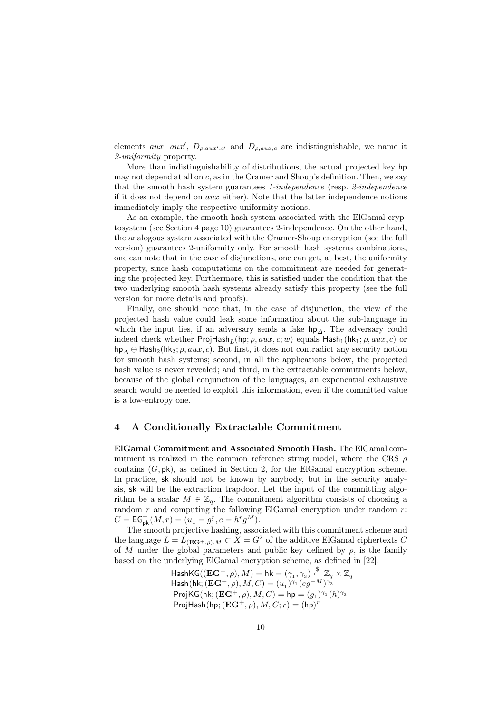elements *aux*, *aux'*,  $D_{\rho, aux', c'}$  and  $D_{\rho, aux, c}$  are indistinguishable, we name it 2-uniformity property.

More than indistinguishability of distributions, the actual projected key hp may not depend at all on  $c$ , as in the Cramer and Shoup's definition. Then, we say that the smooth hash system guarantees 1-independence (resp. 2-independence if it does not depend on aux either). Note that the latter independence notions immediately imply the respective uniformity notions.

As an example, the smooth hash system associated with the ElGamal cryptosystem (see Section 4 page 10) guarantees 2-independence. On the other hand, the analogous system associated with the Cramer-Shoup encryption (see the full version) guarantees 2-uniformity only. For smooth hash systems combinations, one can note that in the case of disjunctions, one can get, at best, the uniformity property, since hash computations on the commitment are needed for generating the projected key. Furthermore, this is satisfied under the condition that the two underlying smooth hash systems already satisfy this property (see the full version for more details and proofs).

Finally, one should note that, in the case of disjunction, the view of the projected hash value could leak some information about the sub-language in which the input lies, if an adversary sends a fake  $hp_\Lambda$ . The adversary could indeed check whether  $\mathsf{ProjHash}_L(\mathsf{hp}; \rho, aux, c; w)$  equals  $\mathsf{Hash}_1(\mathsf{hk}_1; \rho, aux, c)$  or  $hp_{\Lambda} \ominus$  Hash<sub>2</sub>(hk<sub>2</sub>;  $\rho$ , aux, c). But first, it does not contradict any security notion for smooth hash systems; second, in all the applications below, the projected hash value is never revealed; and third, in the extractable commitments below, because of the global conjunction of the languages, an exponential exhaustive search would be needed to exploit this information, even if the committed value is a low-entropy one.

# 4 A Conditionally Extractable Commitment

ElGamal Commitment and Associated Smooth Hash. The ElGamal commitment is realized in the common reference string model, where the CRS  $\rho$ contains  $(G, \mathsf{pk})$ , as defined in Section 2, for the ElGamal encryption scheme. In practice, sk should not be known by anybody, but in the security analysis, sk will be the extraction trapdoor. Let the input of the committing algorithm be a scalar  $M \in \mathbb{Z}_q$ . The commitment algorithm consists of choosing a random  $r$  and computing the following ElGamal encryption under random  $r$ :  $C = \textsf{EG}_{\textsf{pk}}^+(M,r) = (u_1 = g_1^r, e = h^r g^M).$ 

The smooth projective hashing, associated with this commitment scheme and the language  $L = L_{(EG^+,\rho),M} \subset X = G^2$  of the additive ElGamal ciphertexts C of M under the global parameters and public key defined by  $\rho$ , is the family based on the underlying ElGamal encryption scheme, as defined in [22]:

> ${\sf HashKG}(({\bf{EG^+}},\rho),M)={\sf hk}=(\gamma_{_1},\gamma_{_3})\stackrel{\$}{\leftarrow}\mathbb{Z}_q\times\mathbb{Z}_q$  ${\sf Hash}({\sf hk};(\mathbf{EG}^+,\rho),M,C) = (u_{_1})^{\gamma_1} (eg^{-M})^{\gamma_3^*}$ ProjKG(hk;  $(\mathbf{E} \mathbf{G}^+, \rho), M, C) = \mathsf{hp} = (g_1)^{\gamma_1} (h)^{\gamma_3}$  $\mathsf{ProjHash}(\mathsf{hp};(\mathbf{EG}^+,\rho),M,C;r) = (\mathsf{hp})^r$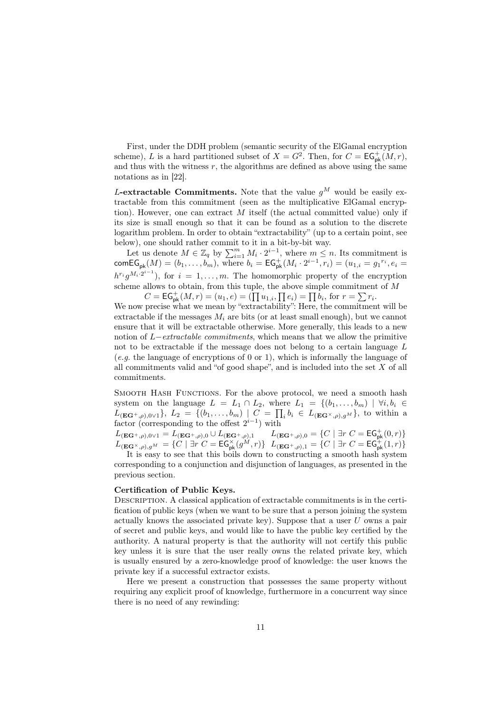First, under the DDH problem (semantic security of the ElGamal encryption scheme), L is a hard partitioned subset of  $X = G^2$ . Then, for  $C = \mathsf{EG}_{\mathsf{pk}}^+(M, r)$ , and thus with the witness  $r$ , the algorithms are defined as above using the same notations as in [22].

L-extractable Commitments. Note that the value  $q^M$  would be easily extractable from this commitment (seen as the multiplicative ElGamal encryption). However, one can extract  $\tilde{M}$  itself (the actual committed value) only if its size is small enough so that it can be found as a solution to the discrete logarithm problem. In order to obtain "extractability" (up to a certain point, see below), one should rather commit to it in a bit-by-bit way.

Let us denote  $M \in \mathbb{Z}_q$  by  $\sum_{i=1}^m M_i \cdot 2^{i-1}$ , where  $m \leq n$ . Its commitment is comEG<sub>pk</sub> $(M) = (b_1, \ldots, b_m)$ , where  $b_i = \textsf{EG}_{\textsf{pk}}^+(M_i \cdot 2^{i-1}, r_i) = (u_{1,i} = g_1^{r_i}, e_i =$  $h^{r_i}g^{M_i\cdot 2^{i-1}}$ , for  $i=1,\ldots,m$ . The homomorphic property of the encryption scheme allows to obtain, from this tuple, the above simple commitment of M

 $C = \mathsf{EG}_{\mathsf{pk}}^+(M, r) = (u_1, e) = (\prod u_{1,i}, \prod e_i) = \prod b_i, \text{ for } r = \sum r_i.$ We now precise what we mean by "extractability": Here, the commitment will be extractable if the messages  $M_i$  are bits (or at least small enough), but we cannot ensure that it will be extractable otherwise. More generally, this leads to a new notion of L−*extractable commitments*, which means that we allow the primitive not to be extractable if the message does not belong to a certain language L (e.g. the language of encryptions of 0 or 1), which is informally the language of all commitments valid and "of good shape", and is included into the set  $X$  of all commitments.

SMOOTH HASH FUNCTIONS. For the above protocol, we need a smooth hash system on the language  $L = L_1 \cap L_2$ , where  $L_1 = \{(b_1, \ldots, b_m) \mid \forall i, b_i \in$  $L_{(EG^+,\rho),0\vee 1}$ },  $L_2 = \{(b_1,\ldots,b_m) \mid C = \prod_i b_i \in L_{(EG^{\times},\rho),g^M} \}$ , to within a factor (corresponding to the offest  $2^{i-1}$ ) with

 $L_{(EG^+,\rho),0\vee 1} = L_{(EG^+,\rho),0} \cup L_{(EG^+,\rho),1}$   $L_{(EG^+,\rho),0} = \{C \mid \exists r \ C = \mathsf{EG}^+_{\mathsf{pk}}(0,r)\}$  $L_{(EG \times, \rho),g^M} = \{ C \mid \exists r \; C = \mathsf{E} \mathsf{G}_{\mathsf{pk}}^{\times}(g^M,r) \} \; \; L_{(EG^+,\rho),1} = \{ C \mid \exists r \; C = \mathsf{E} \mathsf{G}_{\mathsf{pk}}^{\mathsf{f},+}(1,r) \}$ 

It is easy to see that this boils down to constructing a smooth hash system corresponding to a conjunction and disjunction of languages, as presented in the previous section.

#### Certification of Public Keys.

Description. A classical application of extractable commitments is in the certification of public keys (when we want to be sure that a person joining the system actually knows the associated private key). Suppose that a user  $U$  owns a pair of secret and public keys, and would like to have the public key certified by the authority. A natural property is that the authority will not certify this public key unless it is sure that the user really owns the related private key, which is usually ensured by a zero-knowledge proof of knowledge: the user knows the private key if a successful extractor exists.

Here we present a construction that possesses the same property without requiring any explicit proof of knowledge, furthermore in a concurrent way since there is no need of any rewinding: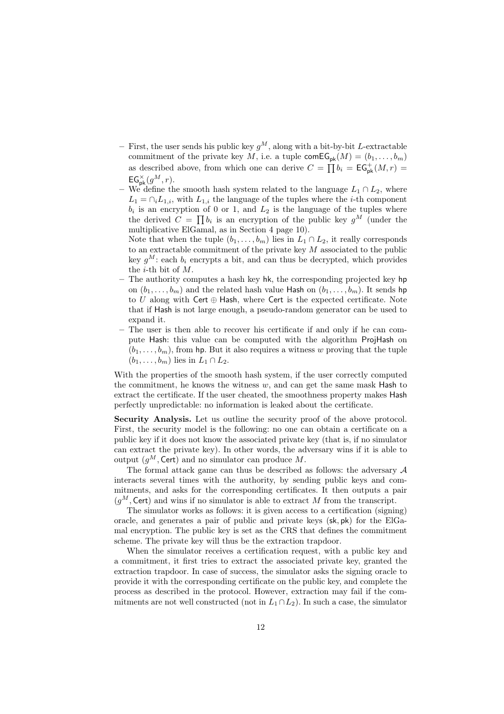- First, the user sends his public key  $g^M$ , along with a bit-by-bit L-extractable commitment of the private key M, i.e. a tuple  $\text{comEG}_{\text{pk}}(M) = (b_1, \ldots, b_m)$ as described above, from which one can derive  $C = \prod b_i = \mathsf{EG}_{\mathsf{pk}}^+(M,r) =$  $\mathsf{EG}_{\mathsf{pk}}^\times(g^M,r).$
- We define the smooth hash system related to the language  $L_1 \cap L_2$ , where  $L_1 = \bigcap_i L_{1,i}$ , with  $L_{1,i}$  the language of the tuples where the *i*-th component  $b_i$  is an encryption of 0 or 1, and  $L_2$  is the language of the tuples where the derived  $C = \prod b_i$  is an encryption of the public key  $g^M$  (under the multiplicative ElGamal, as in Section 4 page 10).
- Note that when the tuple  $(b_1, \ldots, b_m)$  lies in  $L_1 \cap L_2$ , it really corresponds to an extractable commitment of the private key M associated to the public key  $q^M$ : each  $b_i$  encrypts a bit, and can thus be decrypted, which provides the  $i$ -th bit of  $M$ .
- The authority computes a hash key hk, the corresponding projected key hp on  $(b_1, \ldots, b_m)$  and the related hash value Hash on  $(b_1, \ldots, b_m)$ . It sends hp to U along with Cert  $\oplus$  Hash, where Cert is the expected certificate. Note that if Hash is not large enough, a pseudo-random generator can be used to expand it.
- The user is then able to recover his certificate if and only if he can compute Hash: this value can be computed with the algorithm ProjHash on  $(b_1, \ldots, b_m)$ , from hp. But it also requires a witness w proving that the tuple  $(b_1, \ldots, b_m)$  lies in  $L_1 \cap L_2$ .

With the properties of the smooth hash system, if the user correctly computed the commitment, he knows the witness  $w$ , and can get the same mask Hash to extract the certificate. If the user cheated, the smoothness property makes Hash perfectly unpredictable: no information is leaked about the certificate.

Security Analysis. Let us outline the security proof of the above protocol. First, the security model is the following: no one can obtain a certificate on a public key if it does not know the associated private key (that is, if no simulator can extract the private key). In other words, the adversary wins if it is able to output  $(q^M, \text{Cert})$  and no simulator can produce M.

The formal attack game can thus be described as follows: the adversary A interacts several times with the authority, by sending public keys and commitments, and asks for the corresponding certificates. It then outputs a pair  $(q^M, \text{Cert})$  and wins if no simulator is able to extract M from the transcript.

The simulator works as follows: it is given access to a certification (signing) oracle, and generates a pair of public and private keys (sk, pk) for the ElGamal encryption. The public key is set as the CRS that defines the commitment scheme. The private key will thus be the extraction trapdoor.

When the simulator receives a certification request, with a public key and a commitment, it first tries to extract the associated private key, granted the extraction trapdoor. In case of success, the simulator asks the signing oracle to provide it with the corresponding certificate on the public key, and complete the process as described in the protocol. However, extraction may fail if the commitments are not well constructed (not in  $L_1 \cap L_2$ ). In such a case, the simulator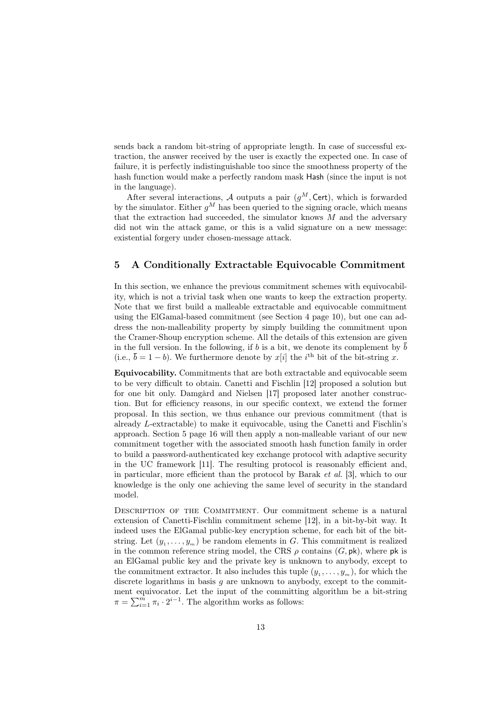sends back a random bit-string of appropriate length. In case of successful extraction, the answer received by the user is exactly the expected one. In case of failure, it is perfectly indistinguishable too since the smoothness property of the hash function would make a perfectly random mask Hash (since the input is not in the language).

After several interactions, A outputs a pair  $(q^M, \text{Cert})$ , which is forwarded by the simulator. Either  $q^M$  has been queried to the signing oracle, which means that the extraction had succeeded, the simulator knows  $M$  and the adversary did not win the attack game, or this is a valid signature on a new message: existential forgery under chosen-message attack.

# 5 A Conditionally Extractable Equivocable Commitment

In this section, we enhance the previous commitment schemes with equivocability, which is not a trivial task when one wants to keep the extraction property. Note that we first build a malleable extractable and equivocable commitment using the ElGamal-based commitment (see Section 4 page 10), but one can address the non-malleability property by simply building the commitment upon the Cramer-Shoup encryption scheme. All the details of this extension are given in the full version. In the following, if b is a bit, we denote its complement by  $\bar{b}$ (i.e.,  $\overline{b} = 1 - b$ ). We furthermore denote by  $x[i]$  the  $i^{\text{th}}$  bit of the bit-string  $x$ .

Equivocability. Commitments that are both extractable and equivocable seem to be very difficult to obtain. Canetti and Fischlin [12] proposed a solution but for one bit only. Damgård and Nielsen [17] proposed later another construction. But for efficiency reasons, in our specific context, we extend the former proposal. In this section, we thus enhance our previous commitment (that is already L-extractable) to make it equivocable, using the Canetti and Fischlin's approach. Section 5 page 16 will then apply a non-malleable variant of our new commitment together with the associated smooth hash function family in order to build a password-authenticated key exchange protocol with adaptive security in the UC framework [11]. The resulting protocol is reasonably efficient and, in particular, more efficient than the protocol by Barak et al. [3], which to our knowledge is the only one achieving the same level of security in the standard model.

DESCRIPTION OF THE COMMITMENT. Our commitment scheme is a natural extension of Canetti-Fischlin commitment scheme [12], in a bit-by-bit way. It indeed uses the ElGamal public-key encryption scheme, for each bit of the bitstring. Let  $(y_1, \ldots, y_m)$  be random elements in G. This commitment is realized in the common reference string model, the CRS  $\rho$  contains  $(G, \mathsf{pk})$ , where  $\mathsf{pk}$  is an ElGamal public key and the private key is unknown to anybody, except to the commitment extractor. It also includes this tuple  $(y_1, \ldots, y_m)$ , for which the discrete logarithms in basis  $g$  are unknown to anybody, except to the commitment equivocator. Let the input of the committing algorithm be a bit-string  $\pi = \sum_{i=1}^m \pi_i \cdot 2^{i-1}$ . The algorithm works as follows: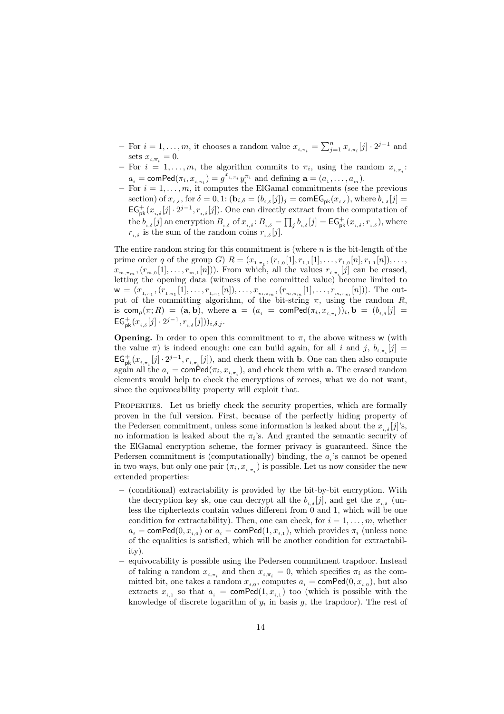- For  $i = 1, \ldots, m$ , it chooses a random value  $x_{i, \pi_i} = \sum_{j=1}^{n} x_{i, \pi_i}[j] \cdot 2^{j-1}$  and sets  $x_{i,\overline{\pi}_i} = 0$ .
- $\overline{\phantom{a}}$  For  $i = 1, \ldots, m$ , the algorithm commits to  $\pi_i$ , using the random  $x_{i,\pi_i}$ :  $a_i = \text{comPed}(\pi_i, x_{i, \pi_i}) = g^{x_{i, \pi_i}} y_i^{\pi_i}$  and defining  $\mathbf{a} = (a_1, \dots, a_m)$ .
- For  $i = 1, \ldots, m$ , it computes the ElGamal commitments (see the previous section) of  $x_{i,\delta}$ , for  $\delta = 0,1$ :  $(\mathbf{b}_{i,\delta} = (b_{i,\delta}[j])_j = \mathsf{com}\mathsf{EG}_{\mathsf{pk}}(x_{i,\delta}),$  where  $b_{i,\delta}[j] =$  $\mathsf{EG}_{\mathsf{pk}}^+(x_{i,\delta}[j] \cdot 2^{j-1}, r_{i,\delta}[j])$ . One can directly extract from the computation of the  $b_{i,\delta}[j]$  an encryption  $B_{i,\delta}$  of  $x_{i,\delta}$ :  $B_{i,\delta} = \prod_j b_{i,\delta}[j] = \textsf{EG}_{\textsf{pk}}^+(x_{i,\delta}, r_{i,\delta})$ , where  $r_{i,\delta}$  is the sum of the random coins  $r_{i,\delta}[j]$ .

The entire random string for this commitment is (where  $n$  is the bit-length of the prime order q of the group G)  $R = (x_{1,\pi_1}, (r_{1,0}[1], r_{1,1}[1], \ldots, r_{1,0}[n], r_{1,1}[n]), \ldots,$  $x_{m,\pi_m}, (r_{m,0}[1], \ldots, r_{m,1}[n])$ . From which, all the values  $r_{i,\overline{\pi_i}}[j]$  can be erased, letting the opening data (witness of the committed value) become limited to  $\mathsf{w} = (x_{1,\pi_1}, (r_{1,\pi_1}[1], \ldots, r_{1,\pi_1}[n]), \ldots, x_{m,\pi_m}, (r_{m,\pi_m}[1], \ldots, r_{m,\pi_m}[n]))$ . The output of the committing algorithm, of the bit-string  $\pi$ , using the random R, is  $\mathsf{com}_\rho(\pi;R) = (\mathbf{a},\mathbf{b}), \text{ where } \mathbf{a} = (a_i = \mathsf{comPed}(\pi_i, x_{i,\pi_i}))_i, \mathbf{b} = (b_{i,\delta}[j])$  $\mathsf{EG}^+_{\mathsf{pk}}(x_{i,\delta}[j] \cdot 2^{j-1}, r_{i,\delta}[j]))_{i,\delta,j}.$ 

**Opening.** In order to open this commitment to  $\pi$ , the above witness w (with the value  $\pi$ ) is indeed enough: one can build again, for all i and j,  $b_{i,\pi_i}[j] =$  $\textsf{EG}_{\textsf{pk}}^+(x_{i,\pi_i}[j]\cdot 2^{j-1},r_{i,\pi_i}[j]),$  and check them with **b**. One can then also compute again all the  $a_i = \text{comPed}(\pi_i, x_{i, \pi_i})$ , and check them with **a**. The erased random elements would help to check the encryptions of zeroes, what we do not want, since the equivocability property will exploit that.

PROPERTIES. Let us briefly check the security properties, which are formally proven in the full version. First, because of the perfectly hiding property of the Pedersen commitment, unless some information is leaked about the  $x_{i,\delta}[j]$ 's, no information is leaked about the  $\pi_i$ 's. And granted the semantic security of the ElGamal encryption scheme, the former privacy is guaranteed. Since the Pedersen commitment is (computationally) binding, the  $a_i$ 's cannot be opened in two ways, but only one pair  $(\pi_i, x_{i, \pi_i})$  is possible. Let us now consider the new extended properties:

- (conditional) extractability is provided by the bit-by-bit encryption. With the decryption key sk, one can decrypt all the  $b_{i\delta}[j]$ , and get the  $x_{i\delta}$  (unless the ciphertexts contain values different from 0 and 1, which will be one condition for extractability). Then, one can check, for  $i = 1, \ldots, m$ , whether  $a_i = \mathsf{comPed}(0, x_{i,0}) \text{ or } a_i = \mathsf{comPed}(1, x_{i,1}), \text{ which provides } \pi_i \text{ (unless none)}$ of the equalities is satisfied, which will be another condition for extractability).
- equivocability is possible using the Pedersen commitment trapdoor. Instead of taking a random  $x_{i,\pi_i}$  and then  $x_{i,\overline{\pi}_i} = 0$ , which specifies  $\pi_i$  as the committed bit, one takes a random  $x_{i,0}$ , computes  $a_i = \text{comPed}(0, x_{i,0})$ , but also extracts  $x_{i,1}$  so that  $a_i = \text{comPed}(1, x_{i,1})$  too (which is possible with the knowledge of discrete logarithm of  $y_i$  in basis  $g$ , the trapdoor). The rest of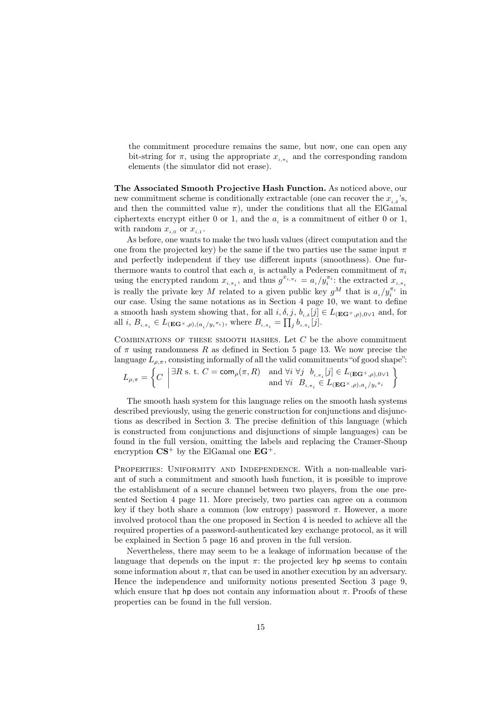the commitment procedure remains the same, but now, one can open any bit-string for  $\pi$ , using the appropriate  $x_{i,\pi_i}$  and the corresponding random elements (the simulator did not erase).

The Associated Smooth Projective Hash Function. As noticed above, our new commitment scheme is conditionally extractable (one can recover the  $x_{i\delta}$ 's, and then the committed value  $\pi$ ), under the conditions that all the ElGamal ciphertexts encrypt either 0 or 1, and the  $a_i$  is a commitment of either 0 or 1, with random  $x_{i,0}$  or  $x_{i,1}$ .

As before, one wants to make the two hash values (direct computation and the one from the projected key) be the same if the two parties use the same input  $\pi$ and perfectly independent if they use different inputs (smoothness). One furthermore wants to control that each  $a_i$  is actually a Pedersen commitment of  $\pi_i$ using the encrypted random  $x_{i,\pi_i}$ , and thus  $g^{x_{i,\pi_i}} = a_i/y_i^{\pi_i}$ : the extracted  $x_{i,\pi_i}$ is really the private key M related to a given public key  $g^M$  that is  $a_i/y_i^{\pi_i}$  in our case. Using the same notations as in Section 4 page 10, we want to define a smooth hash system showing that, for all  $i, \delta, j, b_{i,\delta}[j] \in L_{(\mathbf{EG}^+,0),0\vee 1}$  and, for all *i*,  $B_{i,\pi_i} \in L_{(EG^{\times},\rho),(a_i/y_i^{\pi_i})}$ , where  $B_{i,\pi_i} = \prod_j b_{i,\pi_i}[j]$ .

COMBINATIONS OF THESE SMOOTH HASHES. Let  $C$  be the above commitment of  $\pi$  using randomness R as defined in Section 5 page 13. We now precise the language  $L_{\rho,\pi}$ , consisting informally of all the valid commitments "of good shape":

 $L_{\rho,\pi} = \left\{ C \; \left| \right.$  $\exists R \text{ s. t. } C = \text{com}_{\rho}(\pi, R) \text{ and } \forall i \; \forall j \; b_{i, \pi_i}[j] \in L_{(\mathbf{EG}^+, \rho), 0 \vee 1}$ and  $\forall i \ B_{i,\pi_i} \in L_{(EG^{\times},\rho),a_i/y_i \pi_i}$ <u>)</u>

The smooth hash system for this language relies on the smooth hash systems described previously, using the generic construction for conjunctions and disjunctions as described in Section 3. The precise definition of this language (which is constructed from conjunctions and disjunctions of simple languages) can be found in the full version, omitting the labels and replacing the Cramer-Shoup encryption  $\mathbf{CS}^+$  by the ElGamal one  $\mathbf{EG}^+$ .

PROPERTIES: UNIFORMITY AND INDEPENDENCE. With a non-malleable variant of such a commitment and smooth hash function, it is possible to improve the establishment of a secure channel between two players, from the one presented Section 4 page 11. More precisely, two parties can agree on a common key if they both share a common (low entropy) password  $\pi$ . However, a more involved protocol than the one proposed in Section 4 is needed to achieve all the required properties of a password-authenticated key exchange protocol, as it will be explained in Section 5 page 16 and proven in the full version.

Nevertheless, there may seem to be a leakage of information because of the language that depends on the input  $\pi$ : the projected key hp seems to contain some information about  $\pi$ , that can be used in another execution by an adversary. Hence the independence and uniformity notions presented Section 3 page 9, which ensure that hp does not contain any information about  $\pi$ . Proofs of these properties can be found in the full version.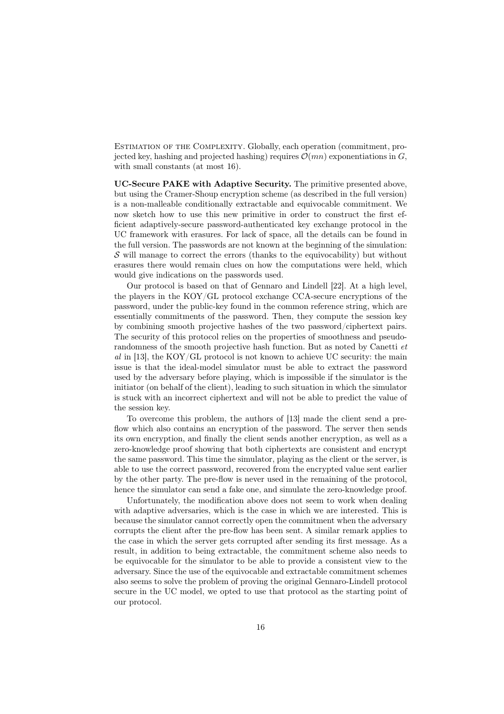ESTIMATION OF THE COMPLEXITY. Globally, each operation (commitment, projected key, hashing and projected hashing) requires  $\mathcal{O}(mn)$  exponentiations in G, with small constants (at most 16).

UC-Secure PAKE with Adaptive Security. The primitive presented above, but using the Cramer-Shoup encryption scheme (as described in the full version) is a non-malleable conditionally extractable and equivocable commitment. We now sketch how to use this new primitive in order to construct the first efficient adaptively-secure password-authenticated key exchange protocol in the UC framework with erasures. For lack of space, all the details can be found in the full version. The passwords are not known at the beginning of the simulation:  $\mathcal S$  will manage to correct the errors (thanks to the equivocability) but without erasures there would remain clues on how the computations were held, which would give indications on the passwords used.

Our protocol is based on that of Gennaro and Lindell [22]. At a high level, the players in the KOY/GL protocol exchange CCA-secure encryptions of the password, under the public-key found in the common reference string, which are essentially commitments of the password. Then, they compute the session key by combining smooth projective hashes of the two password/ciphertext pairs. The security of this protocol relies on the properties of smoothness and pseudorandomness of the smooth projective hash function. But as noted by Canetti et  $al$  in [13], the KOY/GL protocol is not known to achieve UC security: the main issue is that the ideal-model simulator must be able to extract the password used by the adversary before playing, which is impossible if the simulator is the initiator (on behalf of the client), leading to such situation in which the simulator is stuck with an incorrect ciphertext and will not be able to predict the value of the session key.

To overcome this problem, the authors of [13] made the client send a preflow which also contains an encryption of the password. The server then sends its own encryption, and finally the client sends another encryption, as well as a zero-knowledge proof showing that both ciphertexts are consistent and encrypt the same password. This time the simulator, playing as the client or the server, is able to use the correct password, recovered from the encrypted value sent earlier by the other party. The pre-flow is never used in the remaining of the protocol, hence the simulator can send a fake one, and simulate the zero-knowledge proof.

Unfortunately, the modification above does not seem to work when dealing with adaptive adversaries, which is the case in which we are interested. This is because the simulator cannot correctly open the commitment when the adversary corrupts the client after the pre-flow has been sent. A similar remark applies to the case in which the server gets corrupted after sending its first message. As a result, in addition to being extractable, the commitment scheme also needs to be equivocable for the simulator to be able to provide a consistent view to the adversary. Since the use of the equivocable and extractable commitment schemes also seems to solve the problem of proving the original Gennaro-Lindell protocol secure in the UC model, we opted to use that protocol as the starting point of our protocol.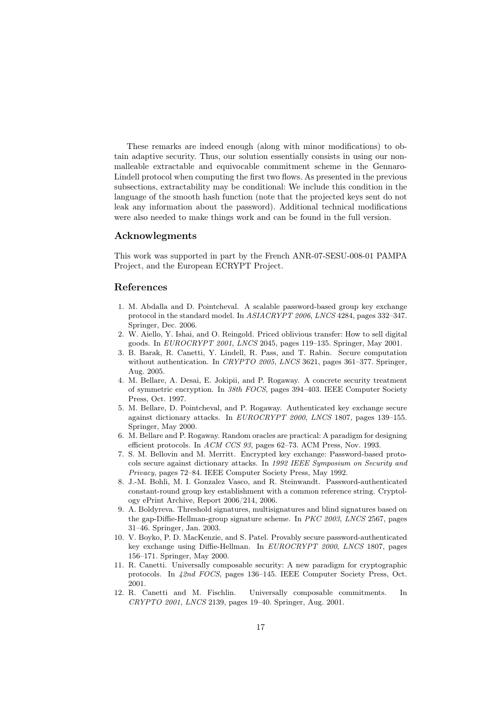These remarks are indeed enough (along with minor modifications) to obtain adaptive security. Thus, our solution essentially consists in using our nonmalleable extractable and equivocable commitment scheme in the Gennaro-Lindell protocol when computing the first two flows. As presented in the previous subsections, extractability may be conditional: We include this condition in the language of the smooth hash function (note that the projected keys sent do not leak any information about the password). Additional technical modifications were also needed to make things work and can be found in the full version.

#### Acknowlegments

This work was supported in part by the French ANR-07-SESU-008-01 PAMPA Project, and the European ECRYPT Project.

#### References

- 1. M. Abdalla and D. Pointcheval. A scalable password-based group key exchange protocol in the standard model. In ASIACRYPT 2006, LNCS 4284, pages 332–347. Springer, Dec. 2006.
- 2. W. Aiello, Y. Ishai, and O. Reingold. Priced oblivious transfer: How to sell digital goods. In EUROCRYPT 2001, LNCS 2045, pages 119–135. Springer, May 2001.
- 3. B. Barak, R. Canetti, Y. Lindell, R. Pass, and T. Rabin. Secure computation without authentication. In CRYPTO 2005, LNCS 3621, pages 361–377. Springer, Aug. 2005.
- 4. M. Bellare, A. Desai, E. Jokipii, and P. Rogaway. A concrete security treatment of symmetric encryption. In 38th FOCS, pages 394–403. IEEE Computer Society Press, Oct. 1997.
- 5. M. Bellare, D. Pointcheval, and P. Rogaway. Authenticated key exchange secure against dictionary attacks. In EUROCRYPT 2000, LNCS 1807, pages 139–155. Springer, May 2000.
- 6. M. Bellare and P. Rogaway. Random oracles are practical: A paradigm for designing efficient protocols. In ACM CCS 93, pages 62–73. ACM Press, Nov. 1993.
- 7. S. M. Bellovin and M. Merritt. Encrypted key exchange: Password-based protocols secure against dictionary attacks. In 1992 IEEE Symposium on Security and Privacy, pages 72–84. IEEE Computer Society Press, May 1992.
- 8. J.-M. Bohli, M. I. Gonzalez Vasco, and R. Steinwandt. Password-authenticated constant-round group key establishment with a common reference string. Cryptology ePrint Archive, Report 2006/214, 2006.
- 9. A. Boldyreva. Threshold signatures, multisignatures and blind signatures based on the gap-Diffie-Hellman-group signature scheme. In PKC 2003, LNCS 2567, pages 31–46. Springer, Jan. 2003.
- 10. V. Boyko, P. D. MacKenzie, and S. Patel. Provably secure password-authenticated key exchange using Diffie-Hellman. In EUROCRYPT 2000, LNCS 1807, pages 156–171. Springer, May 2000.
- 11. R. Canetti. Universally composable security: A new paradigm for cryptographic protocols. In 42nd FOCS, pages 136–145. IEEE Computer Society Press, Oct. 2001.
- 12. R. Canetti and M. Fischlin. Universally composable commitments. In CRYPTO 2001, LNCS 2139, pages 19–40. Springer, Aug. 2001.